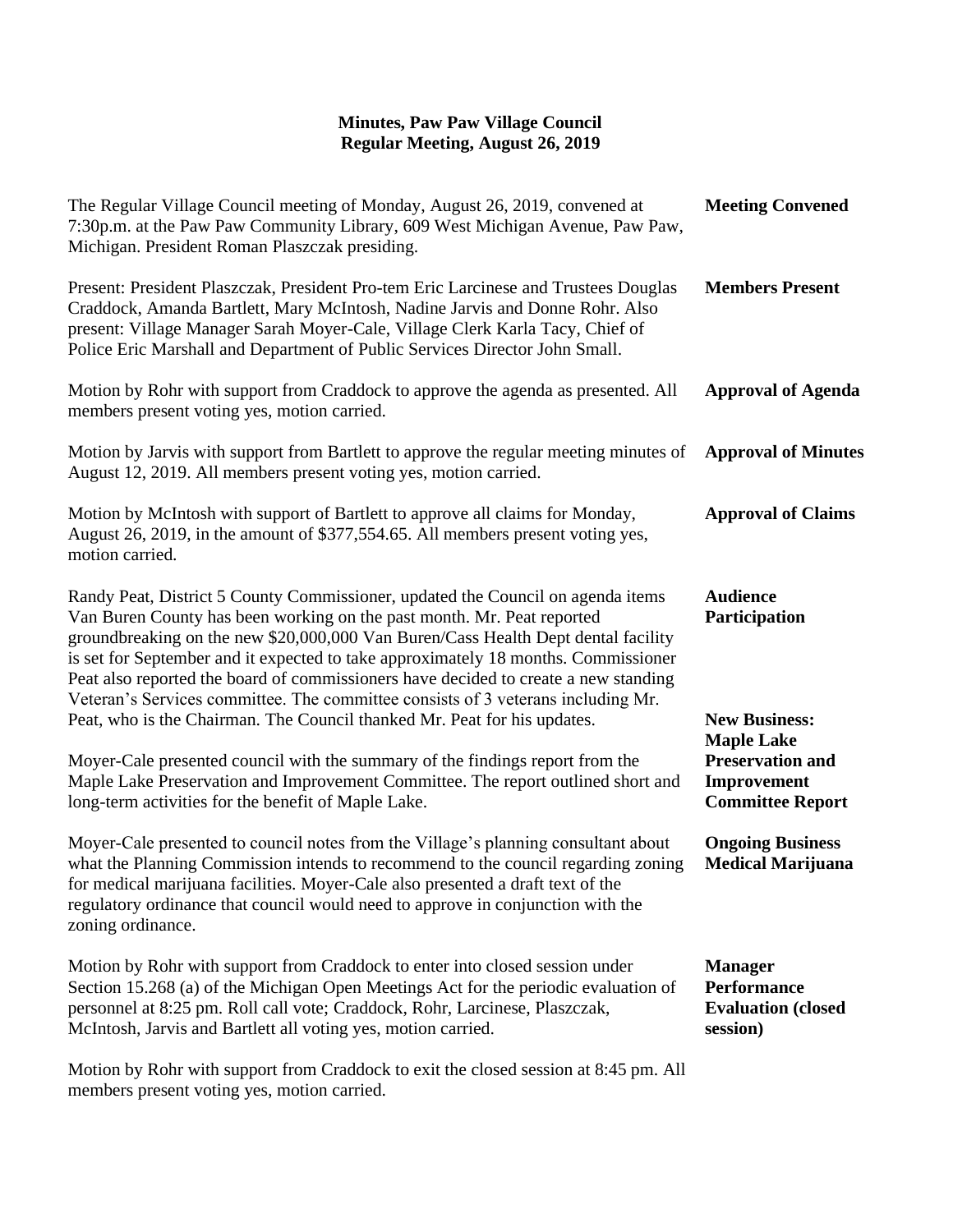## **Minutes, Paw Paw Village Council Regular Meeting, August 26, 2019**

| The Regular Village Council meeting of Monday, August 26, 2019, convened at<br>7:30p.m. at the Paw Paw Community Library, 609 West Michigan Avenue, Paw Paw,<br>Michigan. President Roman Plaszczak presiding.                                                                                                                                                                                                                                                                                                                                                                              | <b>Meeting Convened</b>                                                                |
|---------------------------------------------------------------------------------------------------------------------------------------------------------------------------------------------------------------------------------------------------------------------------------------------------------------------------------------------------------------------------------------------------------------------------------------------------------------------------------------------------------------------------------------------------------------------------------------------|----------------------------------------------------------------------------------------|
| Present: President Plaszczak, President Pro-tem Eric Larcinese and Trustees Douglas<br>Craddock, Amanda Bartlett, Mary McIntosh, Nadine Jarvis and Donne Rohr. Also<br>present: Village Manager Sarah Moyer-Cale, Village Clerk Karla Tacy, Chief of<br>Police Eric Marshall and Department of Public Services Director John Small.                                                                                                                                                                                                                                                         | <b>Members Present</b>                                                                 |
| Motion by Rohr with support from Craddock to approve the agenda as presented. All<br>members present voting yes, motion carried.                                                                                                                                                                                                                                                                                                                                                                                                                                                            | <b>Approval of Agenda</b>                                                              |
| Motion by Jarvis with support from Bartlett to approve the regular meeting minutes of<br>August 12, 2019. All members present voting yes, motion carried.                                                                                                                                                                                                                                                                                                                                                                                                                                   | <b>Approval of Minutes</b>                                                             |
| Motion by McIntosh with support of Bartlett to approve all claims for Monday,<br>August 26, 2019, in the amount of \$377,554.65. All members present voting yes,<br>motion carried.                                                                                                                                                                                                                                                                                                                                                                                                         | <b>Approval of Claims</b>                                                              |
| Randy Peat, District 5 County Commissioner, updated the Council on agenda items<br>Van Buren County has been working on the past month. Mr. Peat reported<br>groundbreaking on the new \$20,000,000 Van Buren/Cass Health Dept dental facility<br>is set for September and it expected to take approximately 18 months. Commissioner<br>Peat also reported the board of commissioners have decided to create a new standing<br>Veteran's Services committee. The committee consists of 3 veterans including Mr.<br>Peat, who is the Chairman. The Council thanked Mr. Peat for his updates. | <b>Audience</b><br>Participation<br><b>New Business:</b>                               |
| Moyer-Cale presented council with the summary of the findings report from the<br>Maple Lake Preservation and Improvement Committee. The report outlined short and<br>long-term activities for the benefit of Maple Lake.                                                                                                                                                                                                                                                                                                                                                                    | <b>Maple Lake</b><br><b>Preservation and</b><br>Improvement<br><b>Committee Report</b> |
| Moyer-Cale presented to council notes from the Village's planning consultant about<br>what the Planning Commission intends to recommend to the council regarding zoning<br>for medical marijuana facilities. Moyer-Cale also presented a draft text of the<br>regulatory ordinance that council would need to approve in conjunction with the<br>zoning ordinance.                                                                                                                                                                                                                          | <b>Ongoing Business</b><br><b>Medical Marijuana</b>                                    |
| Motion by Rohr with support from Craddock to enter into closed session under<br>Section 15.268 (a) of the Michigan Open Meetings Act for the periodic evaluation of<br>personnel at 8:25 pm. Roll call vote; Craddock, Rohr, Larcinese, Plaszczak,<br>McIntosh, Jarvis and Bartlett all voting yes, motion carried.                                                                                                                                                                                                                                                                         | <b>Manager</b><br><b>Performance</b><br><b>Evaluation (closed)</b><br>session)         |
| Motion by Rohr with support from Craddock to exit the closed session at 8:45 pm. All                                                                                                                                                                                                                                                                                                                                                                                                                                                                                                        |                                                                                        |

members present voting yes, motion carried.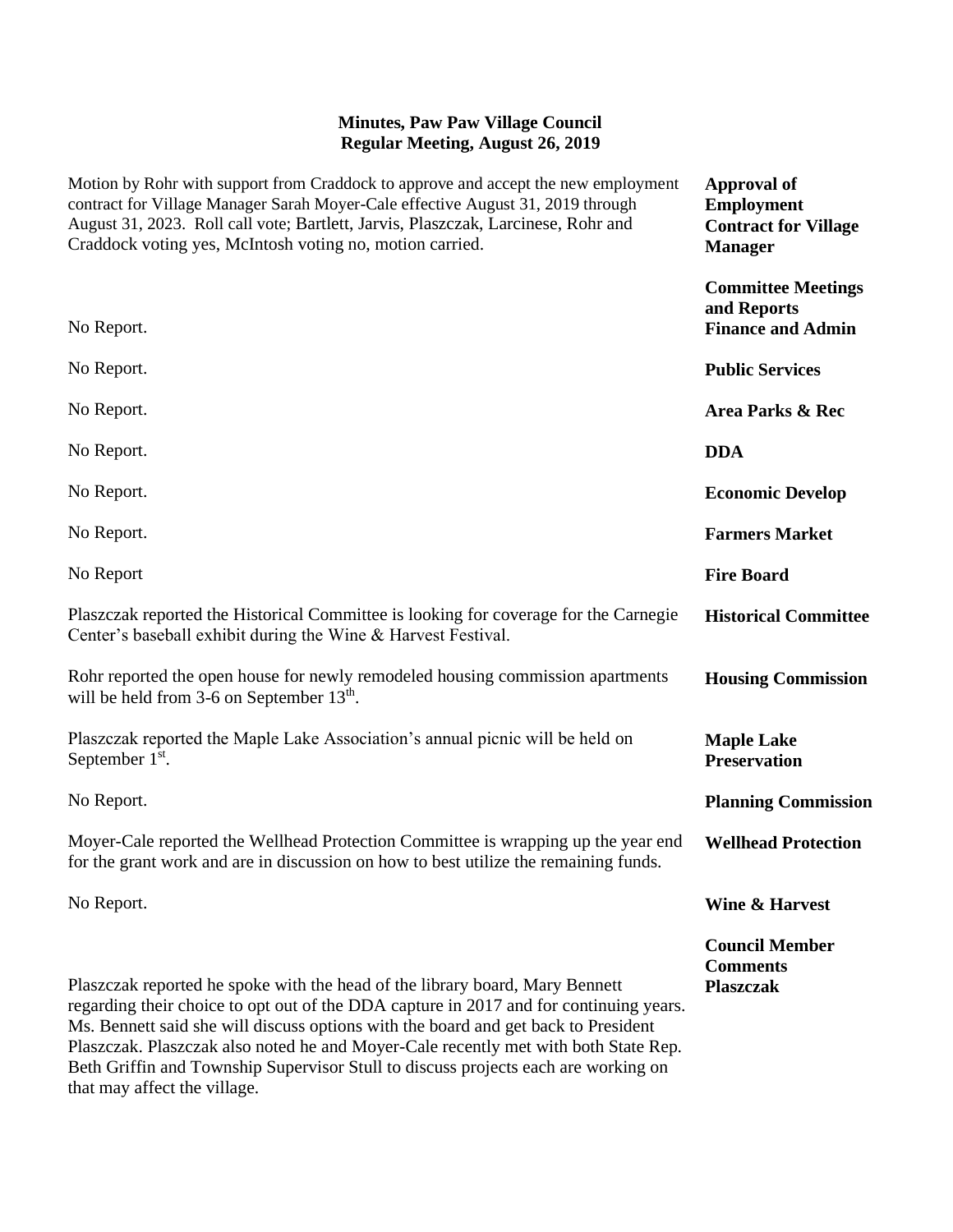## **Minutes, Paw Paw Village Council Regular Meeting, August 26, 2019**

| Motion by Rohr with support from Craddock to approve and accept the new employment<br>contract for Village Manager Sarah Moyer-Cale effective August 31, 2019 through<br>August 31, 2023. Roll call vote; Bartlett, Jarvis, Plaszczak, Larcinese, Rohr and<br>Craddock voting yes, McIntosh voting no, motion carried.                                                                                                                    | <b>Approval of</b><br><b>Employment</b><br><b>Contract for Village</b><br><b>Manager</b> |
|-------------------------------------------------------------------------------------------------------------------------------------------------------------------------------------------------------------------------------------------------------------------------------------------------------------------------------------------------------------------------------------------------------------------------------------------|------------------------------------------------------------------------------------------|
| No Report.                                                                                                                                                                                                                                                                                                                                                                                                                                | <b>Committee Meetings</b><br>and Reports<br><b>Finance and Admin</b>                     |
| No Report.                                                                                                                                                                                                                                                                                                                                                                                                                                | <b>Public Services</b>                                                                   |
| No Report.                                                                                                                                                                                                                                                                                                                                                                                                                                | Area Parks & Rec                                                                         |
| No Report.                                                                                                                                                                                                                                                                                                                                                                                                                                | <b>DDA</b>                                                                               |
| No Report.                                                                                                                                                                                                                                                                                                                                                                                                                                | <b>Economic Develop</b>                                                                  |
| No Report.                                                                                                                                                                                                                                                                                                                                                                                                                                | <b>Farmers Market</b>                                                                    |
| No Report                                                                                                                                                                                                                                                                                                                                                                                                                                 | <b>Fire Board</b>                                                                        |
| Plaszczak reported the Historical Committee is looking for coverage for the Carnegie<br>Center's baseball exhibit during the Wine & Harvest Festival.                                                                                                                                                                                                                                                                                     | <b>Historical Committee</b>                                                              |
| Rohr reported the open house for newly remodeled housing commission apartments<br>will be held from 3-6 on September $13th$ .                                                                                                                                                                                                                                                                                                             | <b>Housing Commission</b>                                                                |
| Plaszczak reported the Maple Lake Association's annual picnic will be held on<br>September $1st$ .                                                                                                                                                                                                                                                                                                                                        | <b>Maple Lake</b><br><b>Preservation</b>                                                 |
| No Report.                                                                                                                                                                                                                                                                                                                                                                                                                                | <b>Planning Commission</b>                                                               |
| Moyer-Cale reported the Wellhead Protection Committee is wrapping up the year end<br>for the grant work and are in discussion on how to best utilize the remaining funds.                                                                                                                                                                                                                                                                 | <b>Wellhead Protection</b>                                                               |
| No Report.                                                                                                                                                                                                                                                                                                                                                                                                                                | <b>Wine &amp; Harvest</b>                                                                |
| Plaszczak reported he spoke with the head of the library board, Mary Bennett<br>regarding their choice to opt out of the DDA capture in 2017 and for continuing years.<br>Ms. Bennett said she will discuss options with the board and get back to President<br>Plaszczak. Plaszczak also noted he and Moyer-Cale recently met with both State Rep.<br>Beth Griffin and Township Supervisor Stull to discuss projects each are working on | <b>Council Member</b><br><b>Comments</b><br><b>Plaszczak</b>                             |

that may affect the village.